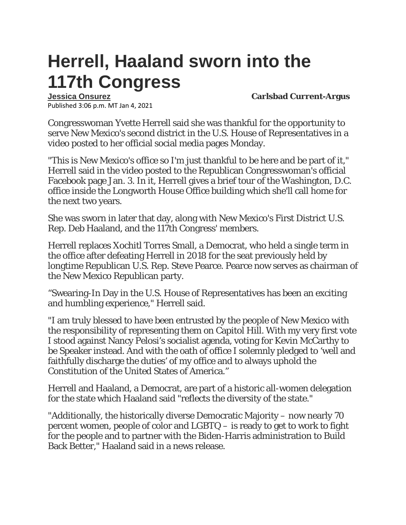## **Herrell, Haaland sworn into the 117th Congress**

Published 3:06 p.m. MT Jan 4, 2021

**[Jessica Onsurez](https://www.currentargus.com/staff/4406673002/jessica-onsurez/) Carlsbad Current-Argus**

Congresswoman Yvette Herrell said she was thankful for the opportunity to serve New Mexico's second district in the U.S. House of Representatives in a video posted to her official social media pages Monday.

"This is New Mexico's office so I'm just thankful to be here and be part of it," Herrell said in the video posted to the Republican Congresswoman's official Facebook page Jan. 3. In it, Herrell gives a brief tour of the Washington, D.C. office inside the Longworth House Office building which she'll call home for the next two years.

She was sworn in later that day, along with New Mexico's First District U.S. Rep. Deb Haaland, and the 117th Congress' members.

Herrell replaces Xochitl Torres Small, a Democrat, who held a single term in the office after defeating Herrell in 2018 for the seat previously held by longtime Republican U.S. Rep. Steve Pearce. Pearce now serves as chairman of the New Mexico Republican party.

"Swearing-In Day in the U.S. House of Representatives has been an exciting and humbling experience," Herrell said.

"I am truly blessed to have been entrusted by the people of New Mexico with the responsibility of representing them on Capitol Hill. With my very first vote I stood against Nancy Pelosi's socialist agenda, voting for Kevin McCarthy to be Speaker instead. And with the oath of office I solemnly pledged to 'well and faithfully discharge the duties' of my office and to always uphold the Constitution of the United States of America."

Herrell and Haaland, a Democrat, are part of a historic all-women delegation for the state which Haaland said "reflects the diversity of the state."

"Additionally, the historically diverse Democratic Majority – now nearly 70 percent women, people of color and LGBTQ – is ready to get to work to fight for the people and to partner with the Biden-Harris administration to Build Back Better," Haaland said in a news release.